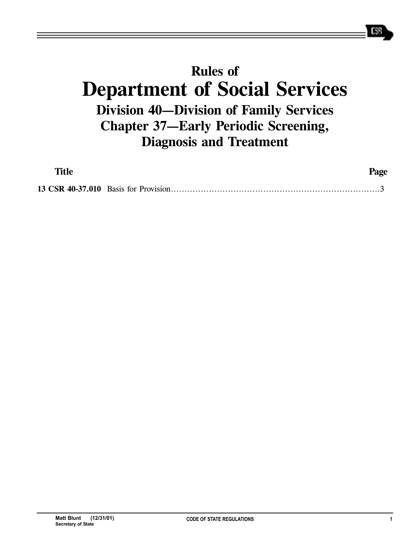## **Rules of Department of Social Services Division 40—Division of Family Services Chapter 37—Early Periodic Screening, Diagnosis and Treatment**

| <b>Title</b> | Page |
|--------------|------|
|              |      |